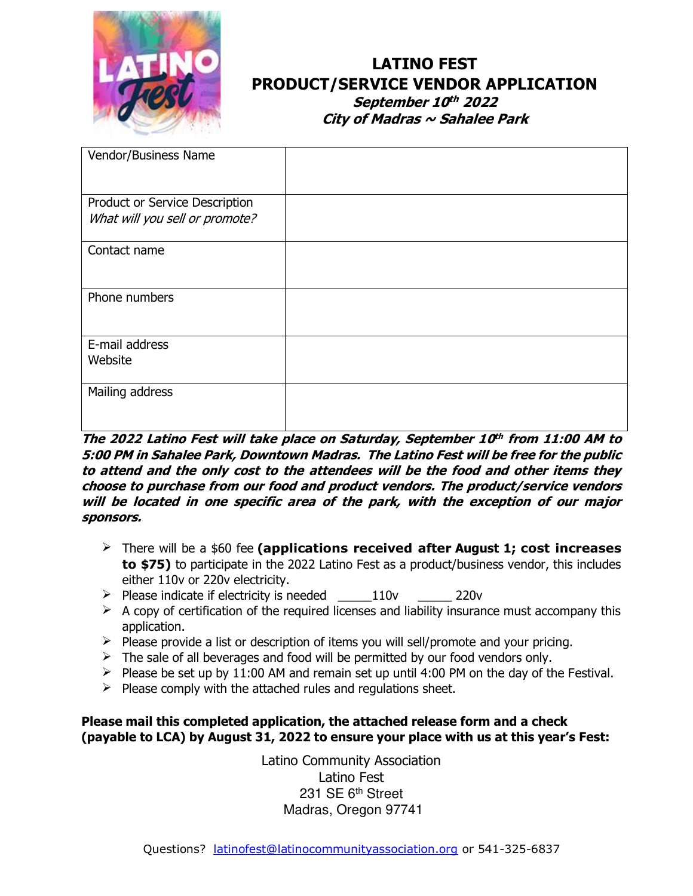

# **LATINO FEST PRODUCT/SERVICE VENDOR APPLICATION**

**September 10 th 2022 City of Madras ~ Sahalee Park**

| Vendor/Business Name                                             |  |
|------------------------------------------------------------------|--|
| Product or Service Description<br>What will you sell or promote? |  |
| Contact name                                                     |  |
| Phone numbers                                                    |  |
| E-mail address<br>Website                                        |  |
| Mailing address                                                  |  |

#### **The 2022 Latino Fest will take place on Saturday, September 10 th from 11:00 AM to 5:00 PM in Sahalee Park, Downtown Madras. The Latino Fest will be free for the public to attend and the only cost to the attendees will be the food and other items they choose to purchase from our food and product vendors. The product/service vendors will be located in one specific area of the park, with the exception of our major sponsors.**

- ➢ There will be a \$60 fee **(applications received after August 1; cost increases to \$75)** to participate in the 2022 Latino Fest as a product/business vendor, this includes either 110v or 220v electricity.
- $\triangleright$  Please indicate if electricity is needed  $110v$  220v
- $\triangleright$  A copy of certification of the required licenses and liability insurance must accompany this application.
- $\triangleright$  Please provide a list or description of items you will sell/promote and your pricing.
- $\triangleright$  The sale of all beverages and food will be permitted by our food vendors only.
- $\triangleright$  Please be set up by 11:00 AM and remain set up until 4:00 PM on the day of the Festival.
- $\triangleright$  Please comply with the attached rules and regulations sheet.

#### **Please mail this completed application, the attached release form and a check (payable to LCA) by August 31, 2022 to ensure your place with us at this year's Fest:**

Latino Community Association Latino Fest 231 SE 6<sup>th</sup> Street Madras, Oregon 97741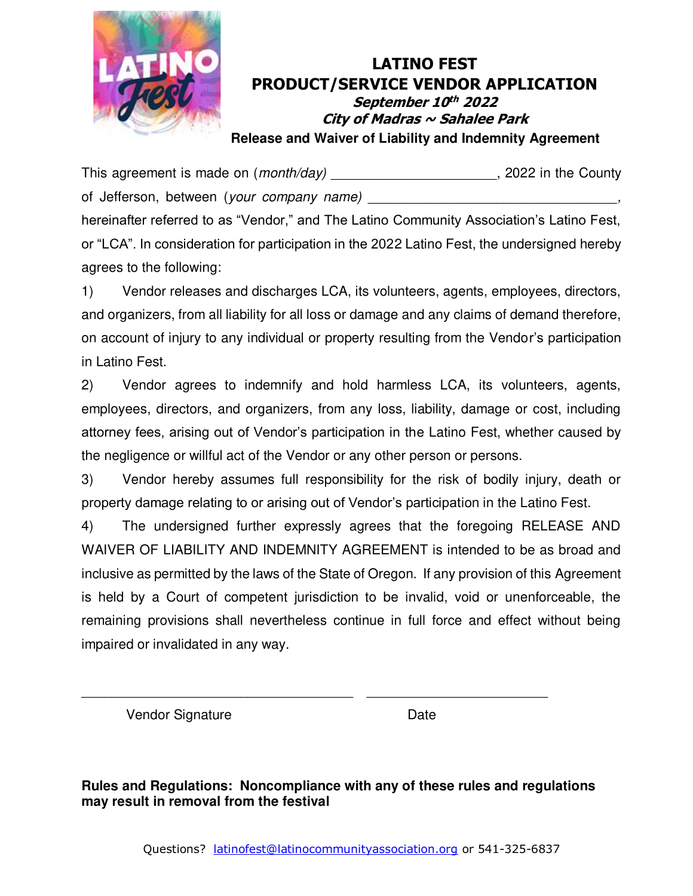

This agreement is made on (*month/day*) \_\_\_\_\_\_\_\_\_\_\_\_\_\_\_\_\_\_\_\_\_\_, 2022 in the County of Jefferson, between (*your company name) \_\_\_\_\_\_\_\_\_\_\_\_\_\_\_\_\_\_\_\_\_\_\_\_\_\_\_\_\_\_\_\_\_,* 

hereinafter referred to as "Vendor," and The Latino Community Association's Latino Fest, or "LCA". In consideration for participation in the 2022 Latino Fest, the undersigned hereby agrees to the following:

1) Vendor releases and discharges LCA, its volunteers, agents, employees, directors, and organizers, from all liability for all loss or damage and any claims of demand therefore, on account of injury to any individual or property resulting from the Vendor's participation in Latino Fest.

2) Vendor agrees to indemnify and hold harmless LCA, its volunteers, agents, employees, directors, and organizers, from any loss, liability, damage or cost, including attorney fees, arising out of Vendor's participation in the Latino Fest, whether caused by the negligence or willful act of the Vendor or any other person or persons.

3) Vendor hereby assumes full responsibility for the risk of bodily injury, death or property damage relating to or arising out of Vendor's participation in the Latino Fest.

4) The undersigned further expressly agrees that the foregoing RELEASE AND WAIVER OF LIABILITY AND INDEMNITY AGREEMENT is intended to be as broad and inclusive as permitted by the laws of the State of Oregon. If any provision of this Agreement is held by a Court of competent jurisdiction to be invalid, void or unenforceable, the remaining provisions shall nevertheless continue in full force and effect without being impaired or invalidated in any way.

Vendor Signature Date

**Rules and Regulations: Noncompliance with any of these rules and regulations may result in removal from the festival** 

\_\_\_\_\_\_\_\_\_\_\_\_\_\_\_\_\_\_\_\_\_\_\_\_\_\_\_\_\_\_\_\_\_\_\_\_ \_\_\_\_\_\_\_\_\_\_\_\_\_\_\_\_\_\_\_\_\_\_\_\_